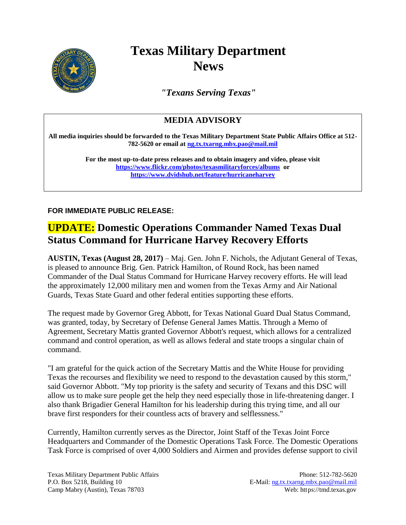

## **Texas Military Department News**

*"Texans Serving Texas"*

## **MEDIA ADVISORY**

**All media inquiries should be forwarded to the Texas Military Department State Public Affairs Office at 512- 782-5620 or email a[t ng.tx.txarng.mbx.pao@mail.mil](mailto:ng.tx.txarng.mbx.pao@mail.mil)**

> **For the most up-to-date press releases and to obtain imagery and video, please visit <https://www.flickr.com/photos/texasmilitaryforces/albums>or <https://www.dvidshub.net/feature/hurricaneharvey>**

**FOR IMMEDIATE PUBLIC RELEASE:**

## **UPDATE: Domestic Operations Commander Named Texas Dual Status Command for Hurricane Harvey Recovery Efforts**

**AUSTIN, Texas (August 28, 2017)** – Maj. Gen. John F. Nichols, the Adjutant General of Texas, is pleased to announce Brig. Gen. Patrick Hamilton, of Round Rock, has been named Commander of the Dual Status Command for Hurricane Harvey recovery efforts. He will lead the approximately 12,000 military men and women from the Texas Army and Air National Guards, Texas State Guard and other federal entities supporting these efforts.

The request made by Governor Greg Abbott, for Texas National Guard Dual Status Command, was granted, today, by Secretary of Defense General James Mattis. Through a Memo of Agreement, Secretary Mattis granted Governor Abbott's request, which allows for a centralized command and control operation, as well as allows federal and state troops a singular chain of command.

"I am grateful for the quick action of the Secretary Mattis and the White House for providing Texas the recourses and flexibility we need to respond to the devastation caused by this storm," said Governor Abbott. "My top priority is the safety and security of Texans and this DSC will allow us to make sure people get the help they need especially those in life-threatening danger. I also thank Brigadier General Hamilton for his leadership during this trying time, and all our brave first responders for their countless acts of bravery and selflessness."

Currently, Hamilton currently serves as the Director, Joint Staff of the Texas Joint Force Headquarters and Commander of the Domestic Operations Task Force. The Domestic Operations Task Force is comprised of over 4,000 Soldiers and Airmen and provides defense support to civil